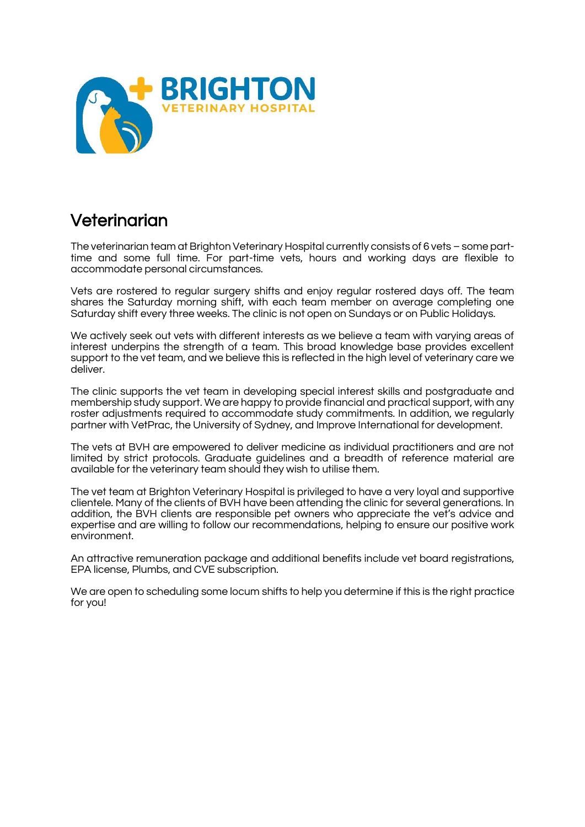

## Veterinarian

The veterinarian team at Brighton Veterinary Hospital currently consists of 6 vets – some parttime and some full time. For part-time vets, hours and working days are flexible to accommodate personal circumstances.

Vets are rostered to regular surgery shifts and enjoy regular rostered days off. The team shares the Saturday morning shift, with each team member on average completing one Saturday shift every three weeks. The clinic is not open on Sundays or on Public Holidays.

We actively seek out vets with different interests as we believe a team with varying areas of interest underpins the strength of a team. This broad knowledge base provides excellent support to the vet team, and we believe this is reflected in the high level of veterinary care we deliver.

The clinic supports the vet team in developing special interest skills and postgraduate and membership study support. We are happy to provide financial and practical support, with any roster adjustments required to accommodate study commitments. In addition, we regularly partner with VetPrac, the University of Sydney, and Improve International for development.

The vets at BVH are empowered to deliver medicine as individual practitioners and are not limited by strict protocols. Graduate guidelines and a breadth of reference material are available for the veterinary team should they wish to utilise them.

The vet team at Brighton Veterinary Hospital is privileged to have a very loyal and supportive clientele. Many of the clients of BVH have been attending the clinic for several generations. In addition, the BVH clients are responsible pet owners who appreciate the vet's advice and expertise and are willing to follow our recommendations, helping to ensure our positive work environment.

An attractive remuneration package and additional benefits include vet board registrations, EPA license, Plumbs, and CVE subscription.

We are open to scheduling some locum shifts to help you determine if this is the right practice for you!